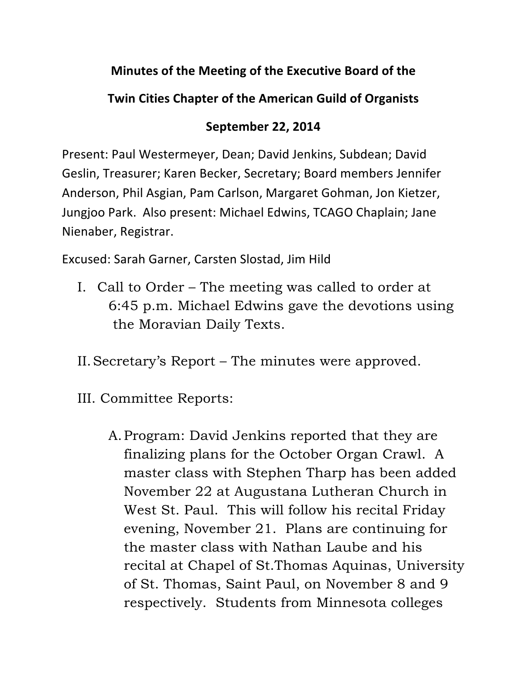### **Minutes of the Meeting of the Executive Board of the**

### **Twin Cities Chapter of the American Guild of Organists**

### **September 22, 2014**

Present: Paul Westermeyer, Dean; David Jenkins, Subdean; David Geslin, Treasurer; Karen Becker, Secretary; Board members Jennifer Anderson, Phil Asgian, Pam Carlson, Margaret Gohman, Jon Kietzer, Jungjoo Park. Also present: Michael Edwins, TCAGO Chaplain; Jane Nienaber, Registrar.

Excused: Sarah Garner, Carsten Slostad, Jim Hild

- I. Call to Order The meeting was called to order at 6:45 p.m. Michael Edwins gave the devotions using the Moravian Daily Texts.
- II.Secretary's Report The minutes were approved.
- III. Committee Reports:
	- A.Program: David Jenkins reported that they are finalizing plans for the October Organ Crawl. A master class with Stephen Tharp has been added November 22 at Augustana Lutheran Church in West St. Paul. This will follow his recital Friday evening, November 21. Plans are continuing for the master class with Nathan Laube and his recital at Chapel of St.Thomas Aquinas, University of St. Thomas, Saint Paul, on November 8 and 9 respectively. Students from Minnesota colleges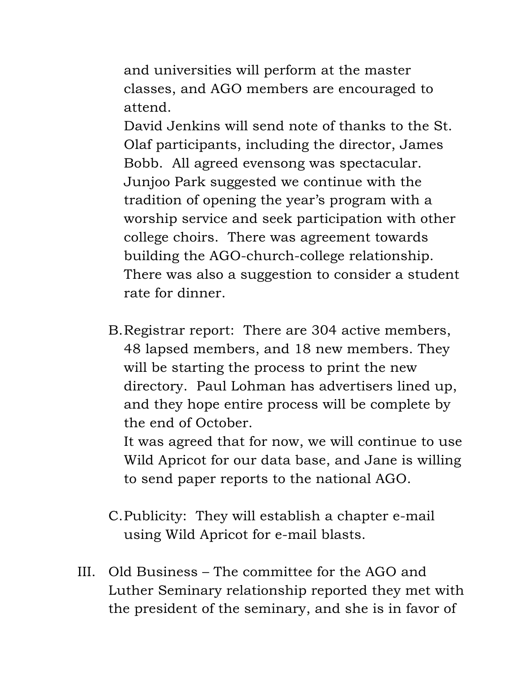and universities will perform at the master classes, and AGO members are encouraged to attend.

David Jenkins will send note of thanks to the St. Olaf participants, including the director, James Bobb. All agreed evensong was spectacular. Junjoo Park suggested we continue with the tradition of opening the year's program with a worship service and seek participation with other college choirs. There was agreement towards building the AGO-church-college relationship. There was also a suggestion to consider a student rate for dinner.

B.Registrar report: There are 304 active members, 48 lapsed members, and 18 new members. They will be starting the process to print the new directory. Paul Lohman has advertisers lined up, and they hope entire process will be complete by the end of October.

It was agreed that for now, we will continue to use Wild Apricot for our data base, and Jane is willing to send paper reports to the national AGO.

# C.Publicity: They will establish a chapter e-mail using Wild Apricot for e-mail blasts.

III. Old Business – The committee for the AGO and Luther Seminary relationship reported they met with the president of the seminary, and she is in favor of